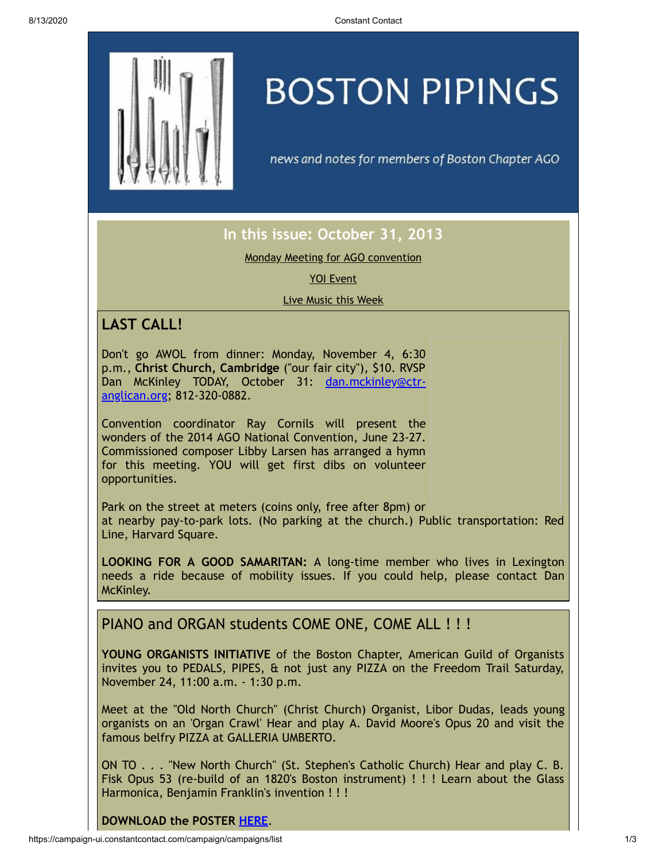

# **BOSTON PIPINGS**

news and notes for members of Boston Chapter AGO

# **In this issue: October 31, 2013**

Monday Meeting for AGO [convention](#page-0-0)

YOI [Event](#page-0-1)

Live [Music](#page-1-0) this Week

# <span id="page-0-0"></span>**LAST CALL!**

Don't go AWOL from dinner: Monday, November 4, 6:30 p.m., **Christ Church, Cambridge** ("our fair city"), \$10. RVSP Dan McKinley TODAY, October 31: [dan.mckinley@ctr](mailto:dan.mckinley@ctr-anglican.org)anglican.org; 812-320-0882.

Convention coordinator Ray Cornils will present the wonders of the 2014 AGO National Convention, June 23-27. Commissioned composer Libby Larsen has arranged a hymn for this meeting. YOU will get first dibs on volunteer opportunities.

Park on the street at meters (coins only, free after 8pm) or at nearby pay-to-park lots. (No parking at the church.) Public transportation: Red Line, Harvard Square.

**LOOKING FOR A GOOD SAMARITAN:** A long-time member who lives in Lexington needs a ride because of mobility issues. If you could help, please contact Dan McKinley.

### <span id="page-0-1"></span>PIANO and ORGAN students COME ONE, COME ALL ! ! !

**YOUNG ORGANISTS INITIATIVE** of the Boston Chapter, American Guild of Organists invites you to PEDALS, PIPES, & not just any PIZZA on the Freedom Trail Saturday, November 24, 11:00 a.m. - 1:30 p.m.

Meet at the "Old North Church" (Christ Church) Organist, Libor Dudas, leads young organists on an 'Organ Crawl' Hear and play A. David Moore's Opus 20 and visit the famous belfry PIZZA at GALLERIA UMBERTO.

ON TO . . . "New North Church" (St. Stephen's Catholic Church) Hear and play C. B. Fisk Opus 53 (re-build of an 1820's Boston instrument) ! ! ! Learn about the Glass Harmonica, Benjamin Franklin's invention ! ! !

#### **DOWNLOAD the POSTER [HERE](https://origin.library.constantcontact.com/doc208/1105786651064/doc/0pPNCeOCiom1rUxx.pdf)**.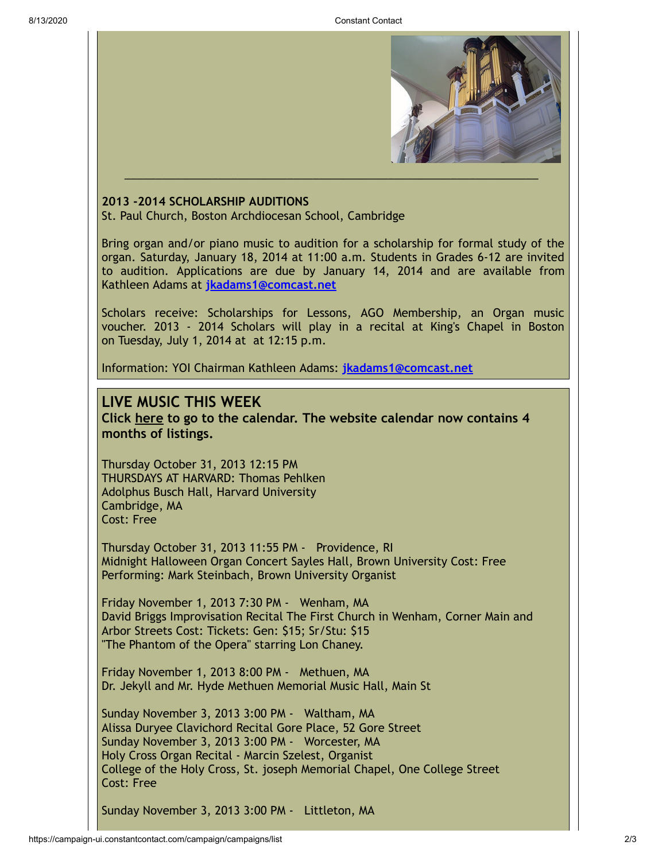

#### **2013 -2014 SCHOLARSHIP AUDITIONS**

St. Paul Church, Boston Archdiocesan School, Cambridge

Bring organ and/or piano music to audition for a scholarship for formal study of the organ. Saturday, January 18, 2014 at 11:00 a.m. Students in Grades 6-12 are invited to audition. Applications are due by January 14, 2014 and are available from Kathleen Adams at **[jkadams1@comcast.net](mailto:jkadams1@comcast.net)**

Scholars receive: Scholarships for Lessons, AGO Membership, an Organ music voucher. 2013 - 2014 Scholars will play in a recital at King's Chapel in Boston on Tuesday, July 1, 2014 at at 12:15 p.m.

Information: YOI Chairman Kathleen Adams: **[jkadams1@comcast.net](mailto:jkadams1@comcast.net)**

#### <span id="page-1-0"></span>**LIVE MUSIC THIS WEEK**

**Click [here](http://www.bostonago.org/info/calendar/) to go to the calendar. The website calendar now contains 4 months of listings.**

Thursday October 31, 2013 12:15 PM THURSDAYS AT HARVARD: Thomas Pehlken Adolphus Busch Hall, Harvard University Cambridge, MA Cost: Free

Thursday October 31, 2013 11:55 PM - Providence, RI Midnight Halloween Organ Concert Sayles Hall, Brown University Cost: Free Performing: Mark Steinbach, Brown University Organist

Friday November 1, 2013 7:30 PM - Wenham, MA David Briggs Improvisation Recital The First Church in Wenham, Corner Main and Arbor Streets Cost: Tickets: Gen: \$15; Sr/Stu: \$15 "The Phantom of the Opera" starring Lon Chaney.

Friday November 1, 2013 8:00 PM - Methuen, MA Dr. Jekyll and Mr. Hyde Methuen Memorial Music Hall, Main St

Sunday November 3, 2013 3:00 PM - Waltham, MA Alissa Duryee Clavichord Recital Gore Place, 52 Gore Street Sunday November 3, 2013 3:00 PM - Worcester, MA Holy Cross Organ Recital - Marcin Szelest, Organist College of the Holy Cross, St. joseph Memorial Chapel, One College Street Cost: Free

Sunday November 3, 2013 3:00 PM - Littleton, MA